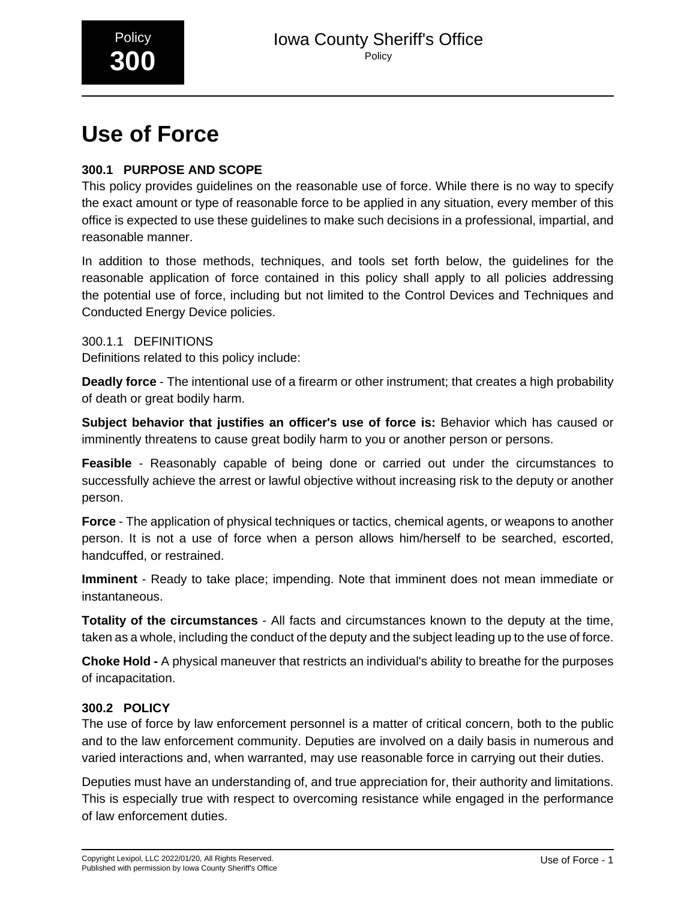

## **Use of Force**

## **300.1 PURPOSE AND SCOPE**

This policy provides guidelines on the reasonable use of force. While there is no way to specify the exact amount or type of reasonable force to be applied in any situation, every member of this office is expected to use these guidelines to make such decisions in a professional, impartial, and reasonable manner.

In addition to those methods, techniques, and tools set forth below, the guidelines for the reasonable application of force contained in this policy shall apply to all policies addressing the potential use of force, including but not limited to the Control Devices and Techniques and Conducted Energy Device policies.

300.1.1 DEFINITIONS Definitions related to this policy include:

**Deadly force** - The intentional use of a firearm or other instrument; that creates a high probability of death or great bodily harm.

**Subject behavior that justifies an officer's use of force is:** Behavior which has caused or imminently threatens to cause great bodily harm to you or another person or persons.

**Feasible** - Reasonably capable of being done or carried out under the circumstances to successfully achieve the arrest or lawful objective without increasing risk to the deputy or another person.

**Force** - The application of physical techniques or tactics, chemical agents, or weapons to another person. It is not a use of force when a person allows him/herself to be searched, escorted, handcuffed, or restrained.

**Imminent** - Ready to take place; impending. Note that imminent does not mean immediate or instantaneous.

**Totality of the circumstances** - All facts and circumstances known to the deputy at the time, taken as a whole, including the conduct of the deputy and the subject leading up to the use of force.

**Choke Hold -** A physical maneuver that restricts an individual's ability to breathe for the purposes of incapacitation.

## **300.2 POLICY**

The use of force by law enforcement personnel is a matter of critical concern, both to the public and to the law enforcement community. Deputies are involved on a daily basis in numerous and varied interactions and, when warranted, may use reasonable force in carrying out their duties.

Deputies must have an understanding of, and true appreciation for, their authority and limitations. This is especially true with respect to overcoming resistance while engaged in the performance of law enforcement duties.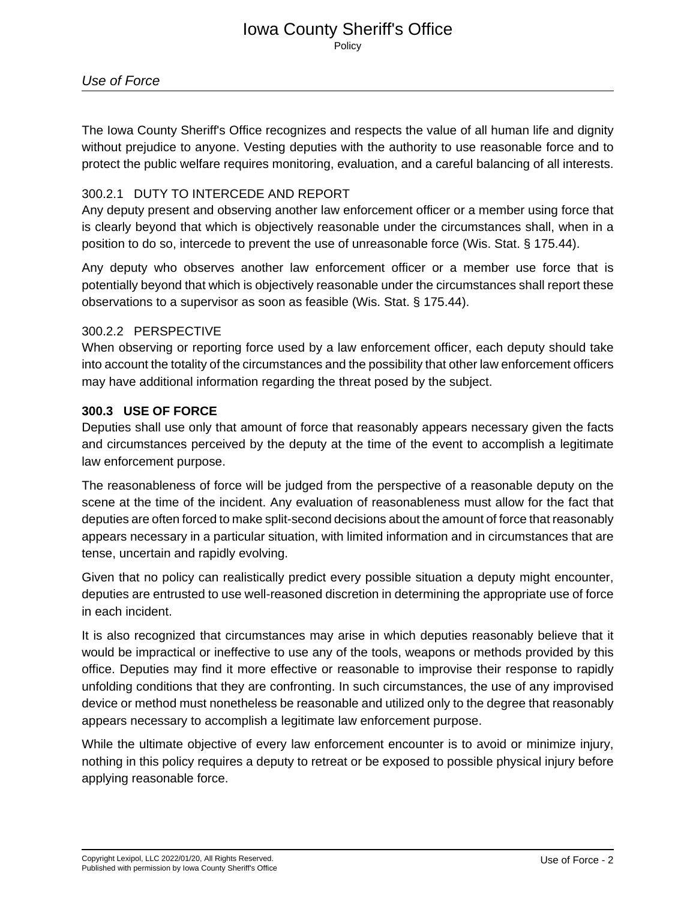## Iowa County Sheriff's Office **Policy**

The Iowa County Sheriff's Office recognizes and respects the value of all human life and dignity without prejudice to anyone. Vesting deputies with the authority to use reasonable force and to protect the public welfare requires monitoring, evaluation, and a careful balancing of all interests.

## 300.2.1 DUTY TO INTERCEDE AND REPORT

Any deputy present and observing another law enforcement officer or a member using force that is clearly beyond that which is objectively reasonable under the circumstances shall, when in a position to do so, intercede to prevent the use of unreasonable force (Wis. Stat. § 175.44).

Any deputy who observes another law enforcement officer or a member use force that is potentially beyond that which is objectively reasonable under the circumstances shall report these observations to a supervisor as soon as feasible (Wis. Stat. § 175.44).

## 300.2.2 PERSPECTIVE

When observing or reporting force used by a law enforcement officer, each deputy should take into account the totality of the circumstances and the possibility that other law enforcement officers may have additional information regarding the threat posed by the subject.

## **300.3 USE OF FORCE**

Deputies shall use only that amount of force that reasonably appears necessary given the facts and circumstances perceived by the deputy at the time of the event to accomplish a legitimate law enforcement purpose.

The reasonableness of force will be judged from the perspective of a reasonable deputy on the scene at the time of the incident. Any evaluation of reasonableness must allow for the fact that deputies are often forced to make split-second decisions about the amount of force that reasonably appears necessary in a particular situation, with limited information and in circumstances that are tense, uncertain and rapidly evolving.

Given that no policy can realistically predict every possible situation a deputy might encounter, deputies are entrusted to use well-reasoned discretion in determining the appropriate use of force in each incident.

It is also recognized that circumstances may arise in which deputies reasonably believe that it would be impractical or ineffective to use any of the tools, weapons or methods provided by this office. Deputies may find it more effective or reasonable to improvise their response to rapidly unfolding conditions that they are confronting. In such circumstances, the use of any improvised device or method must nonetheless be reasonable and utilized only to the degree that reasonably appears necessary to accomplish a legitimate law enforcement purpose.

While the ultimate objective of every law enforcement encounter is to avoid or minimize injury, nothing in this policy requires a deputy to retreat or be exposed to possible physical injury before applying reasonable force.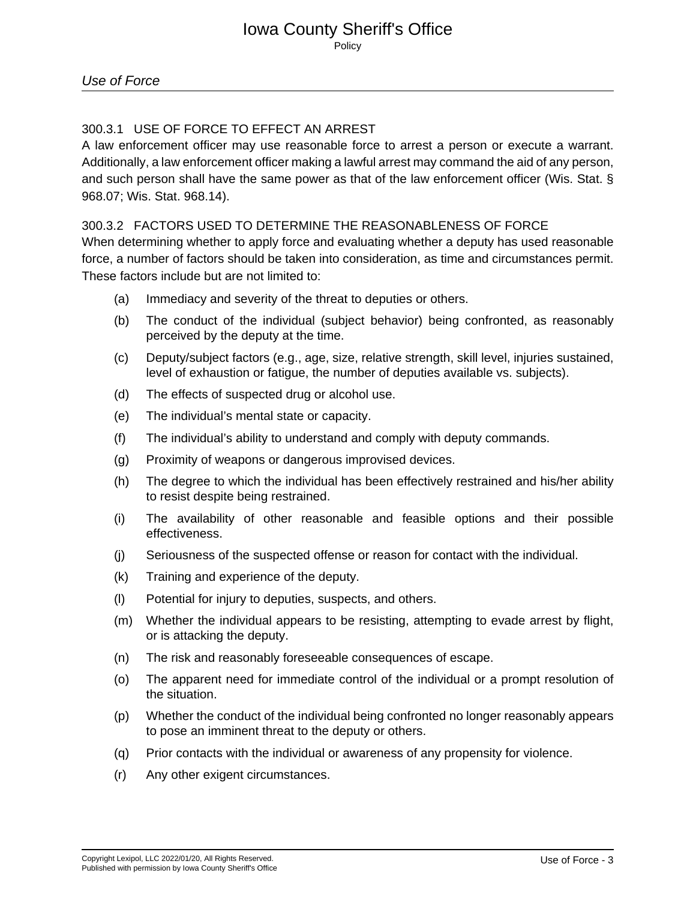## 300.3.1 USE OF FORCE TO EFFECT AN ARREST

A law enforcement officer may use reasonable force to arrest a person or execute a warrant. Additionally, a law enforcement officer making a lawful arrest may command the aid of any person, and such person shall have the same power as that of the law enforcement officer (Wis. Stat. § 968.07; Wis. Stat. 968.14).\_

## 300.3.2 FACTORS USED TO DETERMINE THE REASONABLENESS OF FORCE

When determining whether to apply force and evaluating whether a deputy has used reasonable force, a number of factors should be taken into consideration, as time and circumstances permit. These factors include but are not limited to:

- (a) Immediacy and severity of the threat to deputies or others.
- (b) The conduct of the individual (subject behavior) being confronted, as reasonably perceived by the deputy at the time.
- (c) Deputy/subject factors (e.g., age, size, relative strength, skill level, injuries sustained, level of exhaustion or fatigue, the number of deputies available vs. subjects).
- (d) The effects of suspected drug or alcohol use.
- (e) The individual's mental state or capacity.
- (f) The individual's ability to understand and comply with deputy commands.
- (g) Proximity of weapons or dangerous improvised devices.
- (h) The degree to which the individual has been effectively restrained and his/her ability to resist despite being restrained.
- (i) The availability of other reasonable and feasible options and their possible effectiveness.
- (j) Seriousness of the suspected offense or reason for contact with the individual.
- (k) Training and experience of the deputy.
- (l) Potential for injury to deputies, suspects, and others.
- (m) Whether the individual appears to be resisting, attempting to evade arrest by flight, or is attacking the deputy.
- (n) The risk and reasonably foreseeable consequences of escape.
- (o) The apparent need for immediate control of the individual or a prompt resolution of the situation.
- (p) Whether the conduct of the individual being confronted no longer reasonably appears to pose an imminent threat to the deputy or others.
- (q) Prior contacts with the individual or awareness of any propensity for violence.
- (r) Any other exigent circumstances.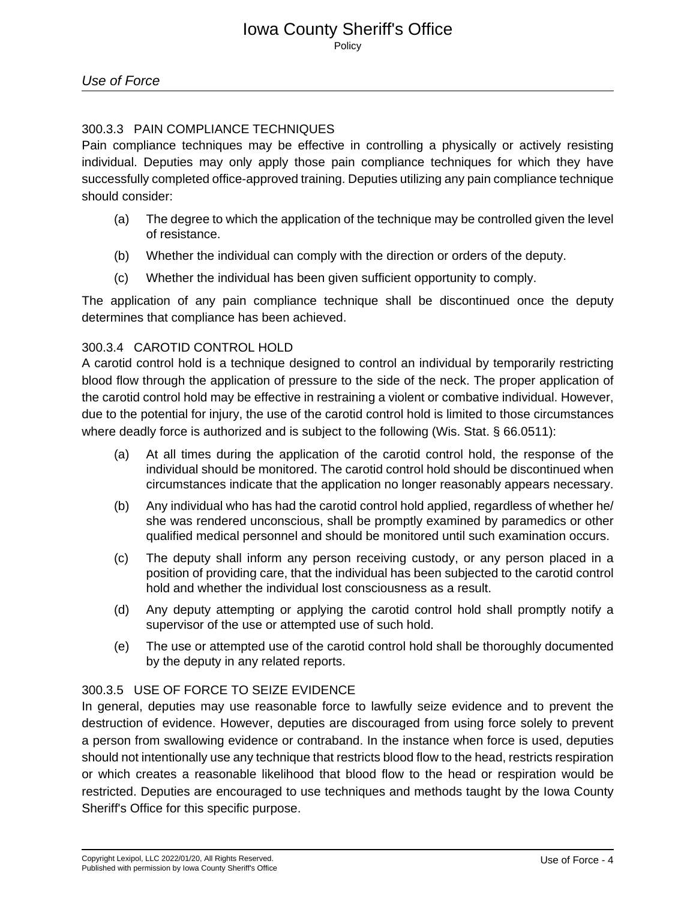## 300.3.3 PAIN COMPLIANCE TECHNIQUES

Pain compliance techniques may be effective in controlling a physically or actively resisting individual. Deputies may only apply those pain compliance techniques for which they have successfully completed office-approved training. Deputies utilizing any pain compliance technique should consider:

- (a) The degree to which the application of the technique may be controlled given the level of resistance.
- (b) Whether the individual can comply with the direction or orders of the deputy.
- (c) Whether the individual has been given sufficient opportunity to comply.

The application of any pain compliance technique shall be discontinued once the deputy determines that compliance has been achieved.

## 300.3.4 CAROTID CONTROL HOLD

A carotid control hold is a technique designed to control an individual by temporarily restricting blood flow through the application of pressure to the side of the neck. The proper application of the carotid control hold may be effective in restraining a violent or combative individual. However, due to the potential for injury, the use of the carotid control hold is limited to those circumstances where deadly force is authorized and is subject to the following (Wis. Stat. § 66.0511):

- (a) At all times during the application of the carotid control hold, the response of the individual should be monitored. The carotid control hold should be discontinued when circumstances indicate that the application no longer reasonably appears necessary.
- (b) Any individual who has had the carotid control hold applied, regardless of whether he/ she was rendered unconscious, shall be promptly examined by paramedics or other qualified medical personnel and should be monitored until such examination occurs.
- (c) The deputy shall inform any person receiving custody, or any person placed in a position of providing care, that the individual has been subjected to the carotid control hold and whether the individual lost consciousness as a result.
- (d) Any deputy attempting or applying the carotid control hold shall promptly notify a supervisor of the use or attempted use of such hold.
- (e) The use or attempted use of the carotid control hold shall be thoroughly documented by the deputy in any related reports.

## 300.3.5 USE OF FORCE TO SEIZE EVIDENCE

In general, deputies may use reasonable force to lawfully seize evidence and to prevent the destruction of evidence. However, deputies are discouraged from using force solely to prevent a person from swallowing evidence or contraband. In the instance when force is used, deputies should not intentionally use any technique that restricts blood flow to the head, restricts respiration or which creates a reasonable likelihood that blood flow to the head or respiration would be restricted. Deputies are encouraged to use techniques and methods taught by the Iowa County Sheriff's Office for this specific purpose.\_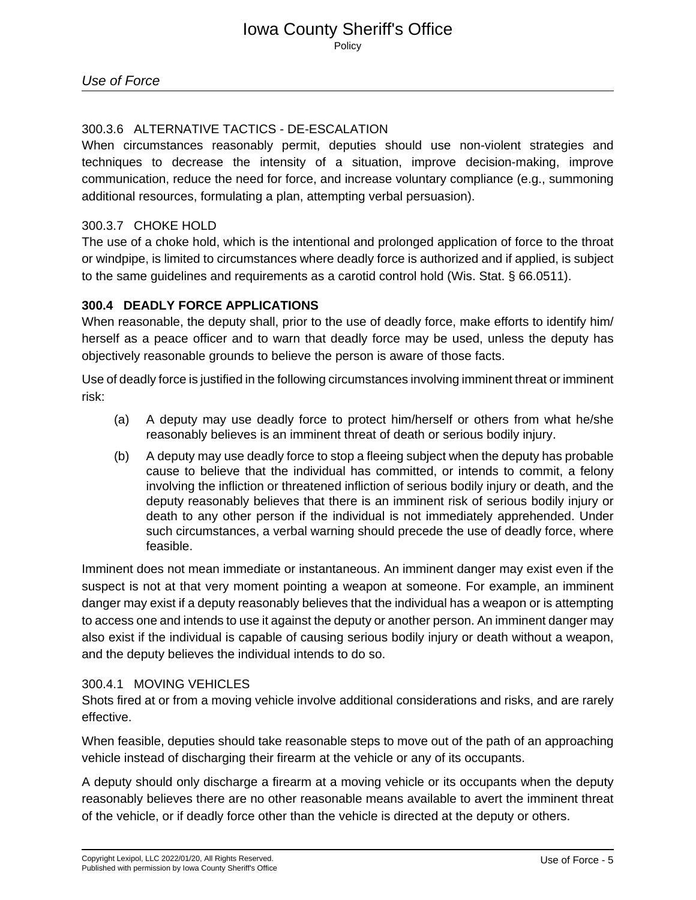## 300.3.6 ALTERNATIVE TACTICS - DE-ESCALATION

When circumstances reasonably permit, deputies should use non-violent strategies and techniques to decrease the intensity of a situation, improve decision-making, improve communication, reduce the need for force, and increase voluntary compliance (e.g., summoning additional resources, formulating a plan, attempting verbal persuasion).

## 300.3.7 CHOKE HOLD

The use of a choke hold, which is the intentional and prolonged application of force to the throat or windpipe, is limited to circumstances where deadly force is authorized and if applied, is subject to the same guidelines and requirements as a carotid control hold (Wis. Stat. § 66.0511).

## **300.4 DEADLY FORCE APPLICATIONS**

When reasonable, the deputy shall, prior to the use of deadly force, make efforts to identify him/ herself as a peace officer and to warn that deadly force may be used, unless the deputy has objectively reasonable grounds to believe the person is aware of those facts.

Use of deadly force is justified in the following circumstances involving imminent threat or imminent risk:

- (a) A deputy may use deadly force to protect him/herself or others from what he/she reasonably believes is an imminent threat of death or serious bodily injury.
- (b) A deputy may use deadly force to stop a fleeing subject when the deputy has probable cause to believe that the individual has committed, or intends to commit, a felony involving the infliction or threatened infliction of serious bodily injury or death, and the deputy reasonably believes that there is an imminent risk of serious bodily injury or death to any other person if the individual is not immediately apprehended. Under such circumstances, a verbal warning should precede the use of deadly force, where feasible.

Imminent does not mean immediate or instantaneous. An imminent danger may exist even if the suspect is not at that very moment pointing a weapon at someone. For example, an imminent danger may exist if a deputy reasonably believes that the individual has a weapon or is attempting to access one and intends to use it against the deputy or another person. An imminent danger may also exist if the individual is capable of causing serious bodily injury or death without a weapon, and the deputy believes the individual intends to do so.

## 300.4.1 MOVING VEHICLES

Shots fired at or from a moving vehicle involve additional considerations and risks, and are rarely effective.

When feasible, deputies should take reasonable steps to move out of the path of an approaching vehicle instead of discharging their firearm at the vehicle or any of its occupants.

A deputy should only discharge a firearm at a moving vehicle or its occupants when the deputy reasonably believes there are no other reasonable means available to avert the imminent threat of the vehicle, or if deadly force other than the vehicle is directed at the deputy or others.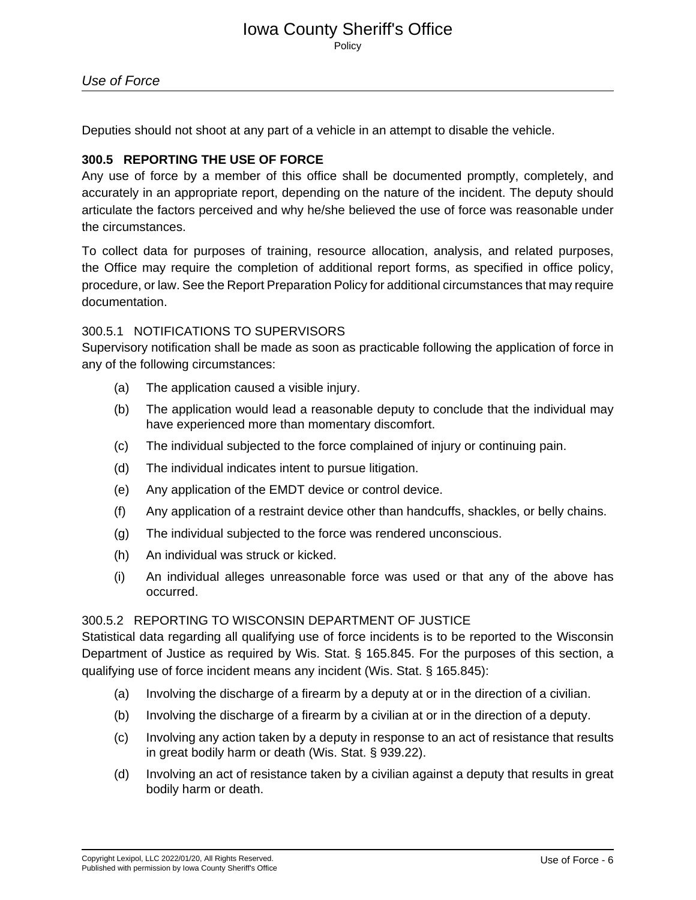# Iowa County Sheriff's Office

Policy

Deputies should not shoot at any part of a vehicle in an attempt to disable the vehicle.

## **300.5 REPORTING THE USE OF FORCE**

Any use of force by a member of this office shall be documented promptly, completely, and accurately in an appropriate report, depending on the nature of the incident. The deputy should articulate the factors perceived and why he/she believed the use of force was reasonable under the circumstances.

To collect data for purposes of training, resource allocation, analysis, and related purposes, the Office may require the completion of additional report forms, as specified in office policy, procedure, or law. See the Report Preparation Policy for additional circumstances that may require documentation.

## 300.5.1 NOTIFICATIONS TO SUPERVISORS

Supervisory notification shall be made as soon as practicable following the application of force in any of the following circumstances:

- (a) The application caused a visible injury.
- (b) The application would lead a reasonable deputy to conclude that the individual may have experienced more than momentary discomfort.
- (c) The individual subjected to the force complained of injury or continuing pain.
- (d) The individual indicates intent to pursue litigation.
- (e) Any application of the EMDT device or control device.
- (f) Any application of a restraint device other than handcuffs, shackles, or belly chains.
- (g) The individual subjected to the force was rendered unconscious.
- (h) An individual was struck or kicked.
- (i) An individual alleges unreasonable force was used or that any of the above has occurred.

#### 300.5.2 REPORTING TO WISCONSIN DEPARTMENT OF JUSTICE

Statistical data regarding all qualifying use of force incidents is to be reported to the Wisconsin Department of Justice as required by Wis. Stat. § 165.845. For the purposes of this section, a qualifying use of force incident means any incident (Wis. Stat. § 165.845):

- (a) Involving the discharge of a firearm by a deputy at or in the direction of a civilian.
- (b) Involving the discharge of a firearm by a civilian at or in the direction of a deputy.
- (c) Involving any action taken by a deputy in response to an act of resistance that results in great bodily harm or death (Wis. Stat. § 939.22).
- (d) Involving an act of resistance taken by a civilian against a deputy that results in great bodily harm or death.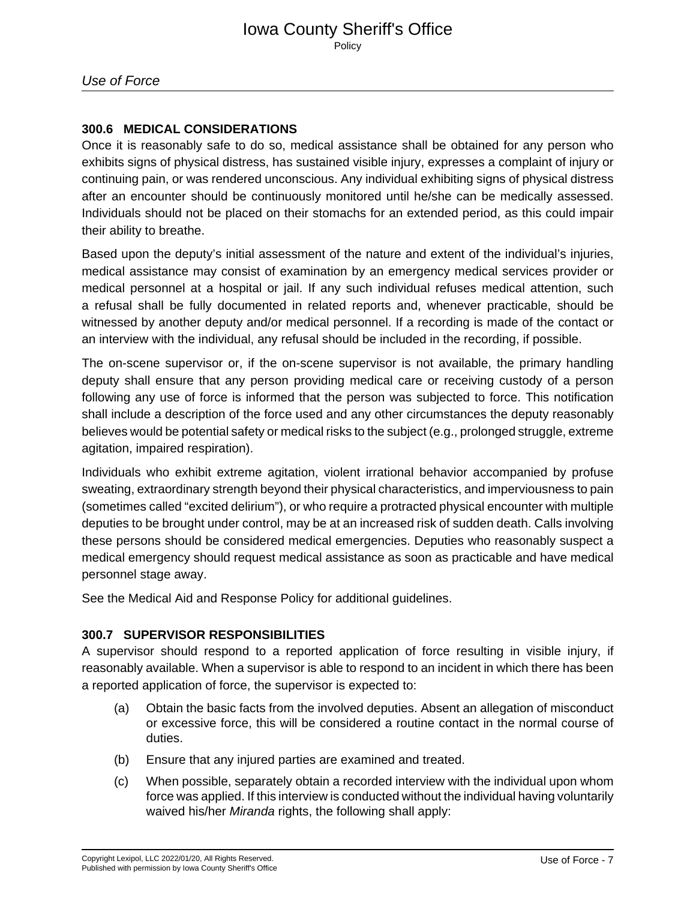## **300.6 MEDICAL CONSIDERATIONS**

Once it is reasonably safe to do so, medical assistance shall be obtained for any person who exhibits signs of physical distress, has sustained visible injury, expresses a complaint of injury or continuing pain, or was rendered unconscious. Any individual exhibiting signs of physical distress after an encounter should be continuously monitored until he/she can be medically assessed. Individuals should not be placed on their stomachs for an extended period, as this could impair their ability to breathe.

Based upon the deputy's initial assessment of the nature and extent of the individual's injuries, medical assistance may consist of examination by an emergency medical services provider or medical personnel at a hospital or jail. If any such individual refuses medical attention, such a refusal shall be fully documented in related reports and, whenever practicable, should be witnessed by another deputy and/or medical personnel. If a recording is made of the contact or an interview with the individual, any refusal should be included in the recording, if possible.

The on-scene supervisor or, if the on-scene supervisor is not available, the primary handling deputy shall ensure that any person providing medical care or receiving custody of a person following any use of force is informed that the person was subjected to force. This notification shall include a description of the force used and any other circumstances the deputy reasonably believes would be potential safety or medical risks to the subject (e.g., prolonged struggle, extreme agitation, impaired respiration).

Individuals who exhibit extreme agitation, violent irrational behavior accompanied by profuse sweating, extraordinary strength beyond their physical characteristics, and imperviousness to pain (sometimes called "excited delirium"), or who require a protracted physical encounter with multiple deputies to be brought under control, may be at an increased risk of sudden death. Calls involving these persons should be considered medical emergencies. Deputies who reasonably suspect a medical emergency should request medical assistance as soon as practicable and have medical personnel stage away.

See the Medical Aid and Response Policy for additional guidelines.

## **300.7 SUPERVISOR RESPONSIBILITIES**

A supervisor should respond to a reported application of force resulting in visible injury, if reasonably available. When a supervisor is able to respond to an incident in which there has been a reported application of force, the supervisor is expected to:

- (a) Obtain the basic facts from the involved deputies. Absent an allegation of misconduct or excessive force, this will be considered a routine contact in the normal course of duties.
- (b) Ensure that any injured parties are examined and treated.
- (c) When possible, separately obtain a recorded interview with the individual upon whom force was applied. If this interview is conducted without the individual having voluntarily waived his/her Miranda rights, the following shall apply: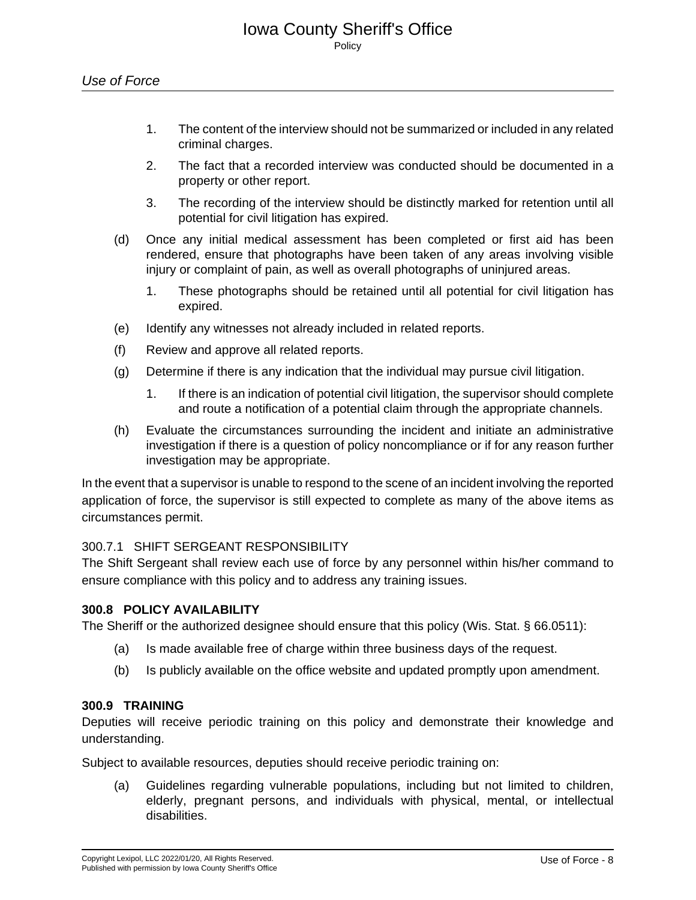- 1. The content of the interview should not be summarized or included in any related criminal charges.
- 2. The fact that a recorded interview was conducted should be documented in a property or other report.
- 3. The recording of the interview should be distinctly marked for retention until all potential for civil litigation has expired.
- (d) Once any initial medical assessment has been completed or first aid has been rendered, ensure that photographs have been taken of any areas involving visible injury or complaint of pain, as well as overall photographs of uninjured areas.
	- 1. These photographs should be retained until all potential for civil litigation has expired.
- (e) Identify any witnesses not already included in related reports.
- (f) Review and approve all related reports.
- (g) Determine if there is any indication that the individual may pursue civil litigation.
	- 1. If there is an indication of potential civil litigation, the supervisor should complete and route a notification of a potential claim through the appropriate channels.
- (h) Evaluate the circumstances surrounding the incident and initiate an administrative investigation if there is a question of policy noncompliance or if for any reason further investigation may be appropriate.

In the event that a supervisor is unable to respond to the scene of an incident involving the reported application of force, the supervisor is still expected to complete as many of the above items as circumstances permit.

## 300.7.1 SHIFT SERGEANT RESPONSIBILITY

The Shift Sergeant shall review each use of force by any personnel within his/her command to ensure compliance with this policy and to address any training issues.

#### **300.8 POLICY AVAILABILITY**

The Sheriff or the authorized designee should ensure that this policy (Wis. Stat. § 66.0511):

- (a) Is made available free of charge within three business days of the request.
- (b) Is publicly available on the office website and updated promptly upon amendment.

#### **300.9 TRAINING**

Deputies will receive periodic training on this policy and demonstrate their knowledge and understanding.

Subject to available resources, deputies should receive periodic training on:

(a) Guidelines regarding vulnerable populations, including but not limited to children, elderly, pregnant persons, and individuals with physical, mental, or intellectual disabilities.